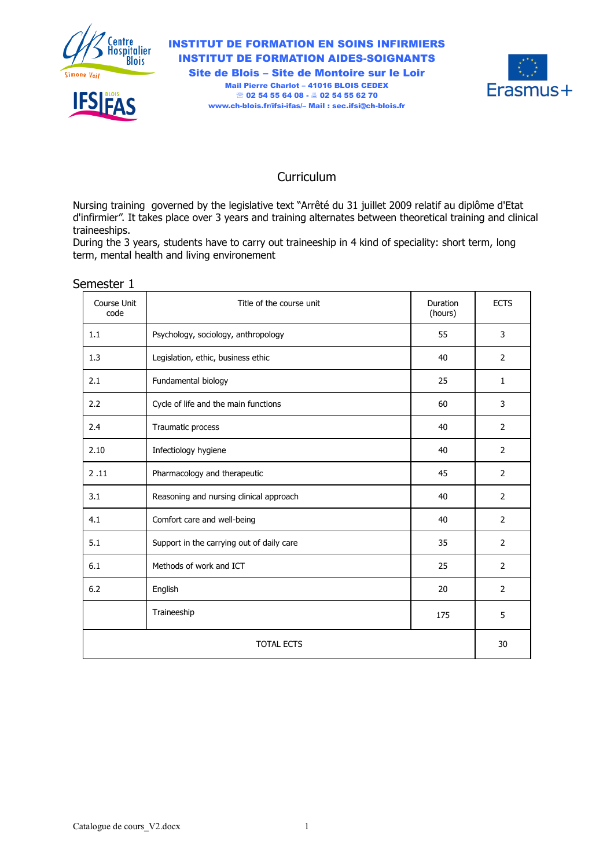

**IFSIFAS** 

INSTITUT DE FORMATION EN SOINS INFIRMIERS INSTITUT DE FORMATION AIDES-SOIGNANTS Site de Blois – Site de Montoire sur le Loir Mail Pierre Charlot – 41016 BLOIS CEDEX ● 02 54 55 64 08 - ▲ 02 54 55 62 70 www.ch-blois.fr/ifsi-ifas/– Mail : sec.ifsi@ch-blois.fr



### Curriculum

Nursing training governed by the legislative text "Arrêté du 31 juillet 2009 relatif au diplôme d'Etat d'infirmier". It takes place over 3 years and training alternates between theoretical training and clinical traineeships.

During the 3 years, students have to carry out traineeship in 4 kind of speciality: short term, long term, mental health and living environement

| Course Unit<br>code | Title of the course unit                  | Duration<br>(hours) | <b>ECTS</b>    |  |  |  |  |  |
|---------------------|-------------------------------------------|---------------------|----------------|--|--|--|--|--|
| 1.1                 | Psychology, sociology, anthropology       | 55                  | 3              |  |  |  |  |  |
| 1.3                 | Legislation, ethic, business ethic        | 40                  | $\overline{2}$ |  |  |  |  |  |
| 2.1                 | Fundamental biology                       | 25                  | $\mathbf{1}$   |  |  |  |  |  |
| 2.2                 | Cycle of life and the main functions      | 60                  | 3              |  |  |  |  |  |
| 2.4                 | Traumatic process                         | 40                  | $\overline{2}$ |  |  |  |  |  |
| 2.10                | Infectiology hygiene                      | 40                  | $\overline{2}$ |  |  |  |  |  |
| 2.11                | Pharmacology and therapeutic              | 45                  | $\overline{2}$ |  |  |  |  |  |
| 3.1                 | Reasoning and nursing clinical approach   | 40                  | 2              |  |  |  |  |  |
| 4.1                 | Comfort care and well-being               | 40                  | $\overline{2}$ |  |  |  |  |  |
| 5.1                 | Support in the carrying out of daily care | 35                  | $\overline{2}$ |  |  |  |  |  |
| 6.1                 | Methods of work and ICT                   | 25                  | $\overline{2}$ |  |  |  |  |  |
| 6.2                 | English                                   | 20                  | $\overline{2}$ |  |  |  |  |  |
|                     | Traineeship                               | 175                 | 5              |  |  |  |  |  |
| <b>TOTAL ECTS</b>   |                                           |                     |                |  |  |  |  |  |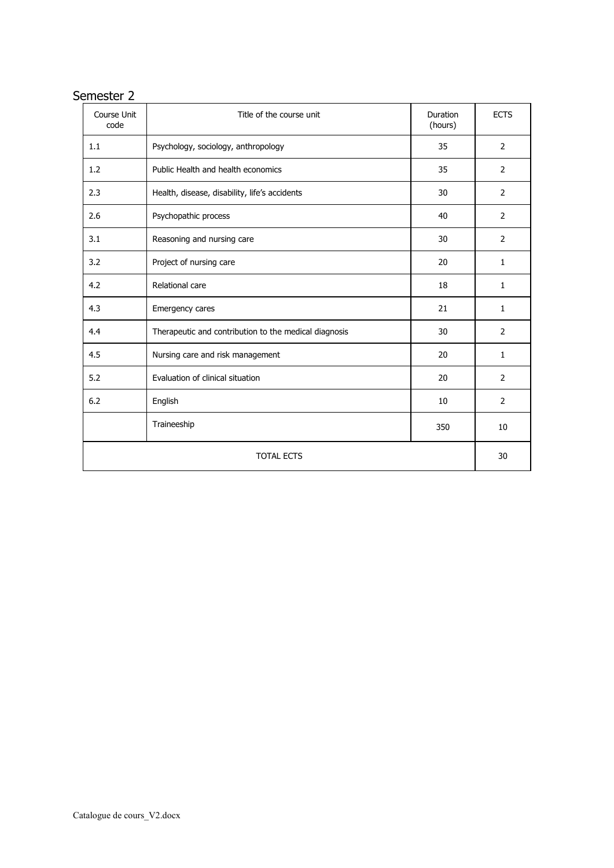| Course Unit<br>code | Title of the course unit                              | <b>Duration</b><br>(hours) | <b>ECTS</b>    |  |  |  |  |  |  |
|---------------------|-------------------------------------------------------|----------------------------|----------------|--|--|--|--|--|--|
| 1.1                 | Psychology, sociology, anthropology                   | 35                         | $\overline{2}$ |  |  |  |  |  |  |
| 1.2                 | Public Health and health economics                    | 35                         | $\overline{2}$ |  |  |  |  |  |  |
| 2.3                 | Health, disease, disability, life's accidents         | 30                         | 2              |  |  |  |  |  |  |
| 2.6                 | Psychopathic process                                  | 40                         | $\overline{2}$ |  |  |  |  |  |  |
| 3.1                 | Reasoning and nursing care                            | 30                         | 2              |  |  |  |  |  |  |
| 3.2                 | Project of nursing care                               | 20                         | $\mathbf{1}$   |  |  |  |  |  |  |
| 4.2                 | Relational care                                       | 18                         | $\mathbf{1}$   |  |  |  |  |  |  |
| 4.3                 | Emergency cares                                       | 21                         | 1              |  |  |  |  |  |  |
| 4.4                 | Therapeutic and contribution to the medical diagnosis | 30                         | 2              |  |  |  |  |  |  |
| 4.5                 | Nursing care and risk management                      | 20                         | $\mathbf{1}$   |  |  |  |  |  |  |
| 5.2                 | Evaluation of clinical situation                      | 20                         | 2              |  |  |  |  |  |  |
| 6.2                 | English                                               | 10                         | $\overline{2}$ |  |  |  |  |  |  |
|                     | Traineeship                                           | 350                        | 10             |  |  |  |  |  |  |
| <b>TOTAL ECTS</b>   |                                                       |                            |                |  |  |  |  |  |  |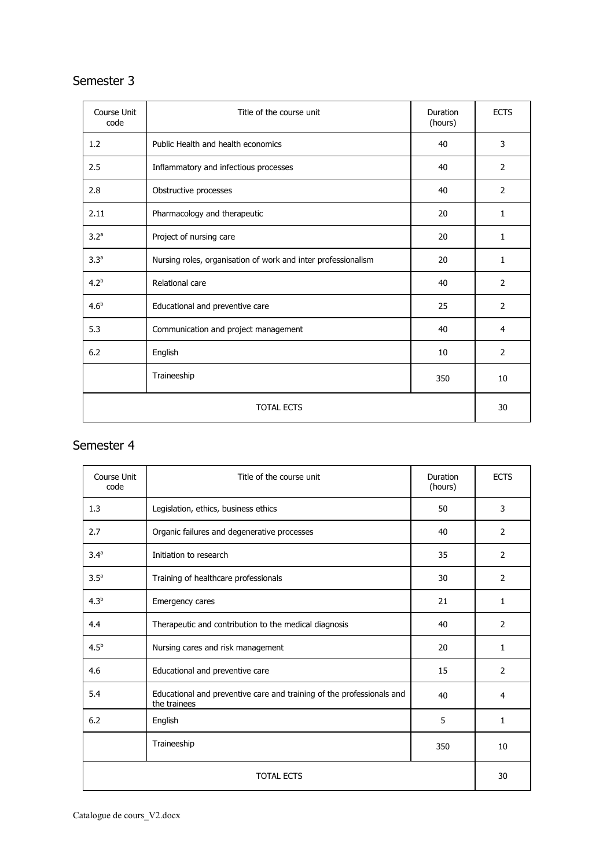## Semester 3

| Course Unit<br>code | Title of the course unit                                      | Duration<br>(hours) | <b>ECTS</b>  |  |  |  |  |  |  |
|---------------------|---------------------------------------------------------------|---------------------|--------------|--|--|--|--|--|--|
| 1.2                 | Public Health and health economics                            | 40                  | 3            |  |  |  |  |  |  |
| 2.5                 | Inflammatory and infectious processes                         | 40                  | 2            |  |  |  |  |  |  |
| 2.8                 | Obstructive processes                                         | 40                  | 2            |  |  |  |  |  |  |
| 2.11                | Pharmacology and therapeutic                                  | 20                  | $\mathbf{1}$ |  |  |  |  |  |  |
| 3.2 <sup>a</sup>    | Project of nursing care                                       | 20                  | 1            |  |  |  |  |  |  |
| 3.3 <sup>a</sup>    | Nursing roles, organisation of work and inter professionalism | 20                  | 1            |  |  |  |  |  |  |
| $4.2^{b}$           | Relational care                                               | 40                  | 2            |  |  |  |  |  |  |
| 4.6 <sup>b</sup>    | Educational and preventive care                               | 25                  | 2            |  |  |  |  |  |  |
| 5.3                 | Communication and project management                          | 40                  | 4            |  |  |  |  |  |  |
| 6.2                 | English                                                       | 10                  | 2            |  |  |  |  |  |  |
|                     | Traineeship                                                   | 350                 | 10           |  |  |  |  |  |  |
| <b>TOTAL ECTS</b>   |                                                               |                     |              |  |  |  |  |  |  |

| Course Unit<br>code | Title of the course unit                                                              | Duration<br>(hours) | <b>ECTS</b>    |  |  |  |  |  |  |
|---------------------|---------------------------------------------------------------------------------------|---------------------|----------------|--|--|--|--|--|--|
| 1.3                 | Legislation, ethics, business ethics                                                  | 50                  | 3              |  |  |  |  |  |  |
| 2.7                 | Organic failures and degenerative processes                                           | 40                  | 2              |  |  |  |  |  |  |
| 3.4 <sup>a</sup>    | Initiation to research                                                                | 35                  | 2              |  |  |  |  |  |  |
| 3.5 <sup>a</sup>    | Training of healthcare professionals                                                  | 30                  | 2              |  |  |  |  |  |  |
| $4.3^{b}$           | Emergency cares                                                                       | 21                  | 1              |  |  |  |  |  |  |
| 4.4                 | Therapeutic and contribution to the medical diagnosis                                 | 40                  | $\overline{2}$ |  |  |  |  |  |  |
| 4.5 <sup>b</sup>    | Nursing cares and risk management                                                     | 20                  | 1              |  |  |  |  |  |  |
| 4.6                 | Educational and preventive care                                                       | 15                  | 2              |  |  |  |  |  |  |
| 5.4                 | Educational and preventive care and training of the professionals and<br>the trainees | 40                  | 4              |  |  |  |  |  |  |
| 6.2                 | English                                                                               | 5                   | 1              |  |  |  |  |  |  |
|                     | Traineeship                                                                           | 350                 | 10             |  |  |  |  |  |  |
| <b>TOTAL ECTS</b>   |                                                                                       |                     |                |  |  |  |  |  |  |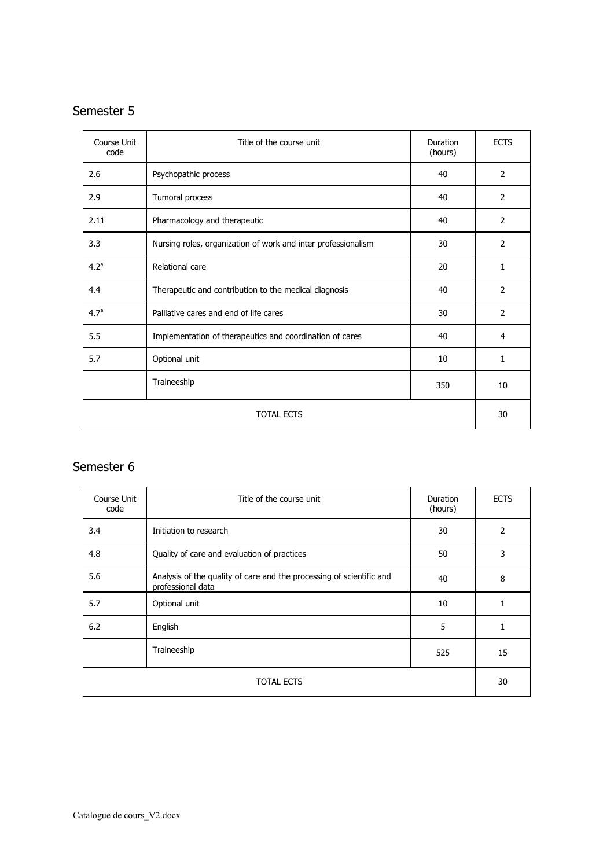# Semester 5

| Course Unit<br>code | Title of the course unit                                      | Duration<br>(hours) | <b>ECTS</b>    |  |  |  |  |  |  |
|---------------------|---------------------------------------------------------------|---------------------|----------------|--|--|--|--|--|--|
| 2.6                 | Psychopathic process                                          | 40                  | $\overline{2}$ |  |  |  |  |  |  |
| 2.9                 | Tumoral process                                               | 40                  | 2              |  |  |  |  |  |  |
| 2.11                | Pharmacology and therapeutic                                  | 40                  | 2              |  |  |  |  |  |  |
| 3.3                 | Nursing roles, organization of work and inter professionalism | 30                  | 2              |  |  |  |  |  |  |
| 4.2 <sup>a</sup>    | Relational care                                               | 20                  | $\mathbf{1}$   |  |  |  |  |  |  |
| 4.4                 | Therapeutic and contribution to the medical diagnosis         | 40                  | 2              |  |  |  |  |  |  |
| 4.7 <sup>a</sup>    | Palliative cares and end of life cares                        | 30                  | 2              |  |  |  |  |  |  |
| 5.5                 | Implementation of therapeutics and coordination of cares      | 40                  | 4              |  |  |  |  |  |  |
| 5.7                 | Optional unit                                                 | 10                  | 1              |  |  |  |  |  |  |
|                     | Traineeship                                                   | 350                 | 10             |  |  |  |  |  |  |
|                     | <b>TOTAL ECTS</b>                                             |                     |                |  |  |  |  |  |  |

| Course Unit<br>code | Title of the course unit                                                                  | Duration<br>(hours) | <b>ECTS</b> |  |  |  |  |  |  |
|---------------------|-------------------------------------------------------------------------------------------|---------------------|-------------|--|--|--|--|--|--|
| 3.4                 | Initiation to research                                                                    | 30                  | 2           |  |  |  |  |  |  |
| 4.8                 | Quality of care and evaluation of practices                                               | 50                  | 3           |  |  |  |  |  |  |
| 5.6                 | Analysis of the quality of care and the processing of scientific and<br>professional data | 40                  | 8           |  |  |  |  |  |  |
| 5.7                 | Optional unit                                                                             | 10                  |             |  |  |  |  |  |  |
| 6.2                 | English                                                                                   | 5                   |             |  |  |  |  |  |  |
|                     | Traineeship                                                                               | 525                 | 15          |  |  |  |  |  |  |
|                     | <b>TOTAL ECTS</b>                                                                         |                     |             |  |  |  |  |  |  |